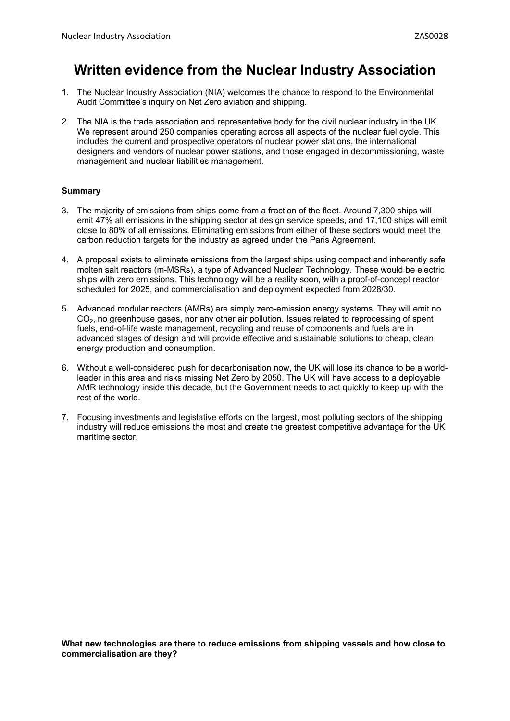## **Written evidence from the Nuclear Industry Association**

- 1. The Nuclear Industry Association (NIA) welcomes the chance to respond to the Environmental Audit Committee's inquiry on Net Zero aviation and shipping.
- 2. The NIA is the trade association and representative body for the civil nuclear industry in the UK. We represent around 250 companies operating across all aspects of the nuclear fuel cycle. This includes the current and prospective operators of nuclear power stations, the international designers and vendors of nuclear power stations, and those engaged in decommissioning, waste management and nuclear liabilities management.

## **Summary**

- 3. The majority of emissions from ships come from a fraction of the fleet. Around 7,300 ships will emit 47% all emissions in the shipping sector at design service speeds, and 17,100 ships will emit close to 80% of all emissions. Eliminating emissions from either of these sectors would meet the carbon reduction targets for the industry as agreed under the Paris Agreement.
- 4. A proposal exists to eliminate emissions from the largest ships using compact and inherently safe molten salt reactors (m-MSRs), a type of Advanced Nuclear Technology. These would be electric ships with zero emissions. This technology will be a reality soon, with a proof-of-concept reactor scheduled for 2025, and commercialisation and deployment expected from 2028/30.
- 5. Advanced modular reactors (AMRs) are simply zero-emission energy systems. They will emit no CO<sub>2</sub>, no greenhouse gases, nor any other air pollution. Issues related to reprocessing of spent fuels, end-of-life waste management, recycling and reuse of components and fuels are in advanced stages of design and will provide effective and sustainable solutions to cheap, clean energy production and consumption.
- 6. Without a well-considered push for decarbonisation now, the UK will lose its chance to be a worldleader in this area and risks missing Net Zero by 2050. The UK will have access to a deployable AMR technology inside this decade, but the Government needs to act quickly to keep up with the rest of the world.
- 7. Focusing investments and legislative efforts on the largest, most polluting sectors of the shipping industry will reduce emissions the most and create the greatest competitive advantage for the UK maritime sector.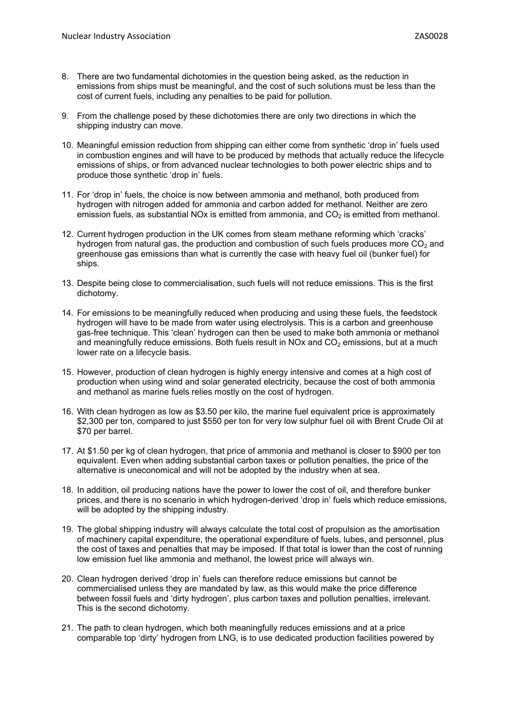- 8. There are two fundamental dichotomies in the question being asked, as the reduction in emissions from ships must be meaningful, and the cost of such solutions must be less than the cost of current fuels, including any penalties to be paid for pollution.
- 9. From the challenge posed by these dichotomies there are only two directions in which the shipping industry can move.
- 10. Meaningful emission reduction from shipping can either come from synthetic 'drop in' fuels used in combustion engines and will have to be produced by methods that actually reduce the lifecycle emissions of ships, or from advanced nuclear technologies to both power electric ships and to produce those synthetic 'drop in' fuels.
- 11. For 'drop in' fuels, the choice is now between ammonia and methanol, both produced from hydrogen with nitrogen added for ammonia and carbon added for methanol. Neither are zero emission fuels, as substantial NOx is emitted from ammonia, and  $CO<sub>2</sub>$  is emitted from methanol.
- 12. Current hydrogen production in the UK comes from steam methane reforming which 'cracks' hydrogen from natural gas, the production and combustion of such fuels produces more  $CO<sub>2</sub>$  and greenhouse gas emissions than what is currently the case with heavy fuel oil (bunker fuel) for ships.
- 13. Despite being close to commercialisation, such fuels will not reduce emissions. This is the first dichotomy.
- 14. For emissions to be meaningfully reduced when producing and using these fuels, the feedstock hydrogen will have to be made from water using electrolysis. This is a carbon and greenhouse gas-free technique. This 'clean' hydrogen can then be used to make both ammonia or methanol and meaningfully reduce emissions. Both fuels result in NOx and  $CO<sub>2</sub>$  emissions, but at a much lower rate on a lifecycle basis.
- 15. However, production of clean hydrogen is highly energy intensive and comes at a high cost of production when using wind and solar generated electricity, because the cost of both ammonia and methanol as marine fuels relies mostly on the cost of hydrogen.
- 16. With clean hydrogen as low as \$3.50 per kilo, the marine fuel equivalent price is approximately \$2,300 per ton, compared to just \$550 per ton for very low sulphur fuel oil with Brent Crude Oil at \$70 per barrel.
- 17. At \$1.50 per kg of clean hydrogen, that price of ammonia and methanol is closer to \$900 per ton equivalent. Even when adding substantial carbon taxes or pollution penalties, the price of the alternative is uneconomical and will not be adopted by the industry when at sea.
- 18. In addition, oil producing nations have the power to lower the cost of oil, and therefore bunker prices, and there is no scenario in which hydrogen-derived 'drop in' fuels which reduce emissions, will be adopted by the shipping industry.
- 19. The global shipping industry will always calculate the total cost of propulsion as the amortisation of machinery capital expenditure, the operational expenditure of fuels, lubes, and personnel, plus the cost of taxes and penalties that may be imposed. If that total is lower than the cost of running low emission fuel like ammonia and methanol, the lowest price will always win.
- 20. Clean hydrogen derived 'drop in' fuels can therefore reduce emissions but cannot be commercialised unless they are mandated by law, as this would make the price difference between fossil fuels and 'dirty hydrogen', plus carbon taxes and pollution penalties, irrelevant. This is the second dichotomy.
- 21. The path to clean hydrogen, which both meaningfully reduces emissions and at a price comparable top 'dirty' hydrogen from LNG, is to use dedicated production facilities powered by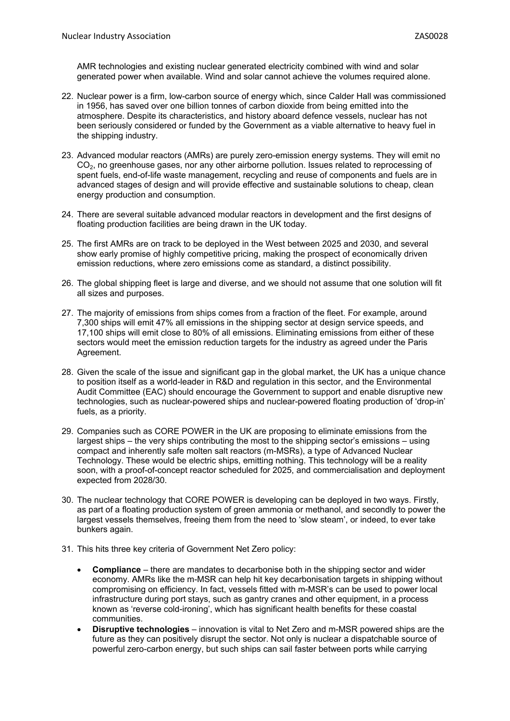AMR technologies and existing nuclear generated electricity combined with wind and solar generated power when available. Wind and solar cannot achieve the volumes required alone.

- 22. Nuclear power is a firm, low-carbon source of energy which, since Calder Hall was commissioned in 1956, has saved over one billion tonnes of carbon dioxide from being emitted into the atmosphere. Despite its characteristics, and history aboard defence vessels, nuclear has not been seriously considered or funded by the Government as a viable alternative to heavy fuel in the shipping industry.
- 23. Advanced modular reactors (AMRs) are purely zero-emission energy systems. They will emit no CO<sub>2</sub>, no greenhouse gases, nor any other airborne pollution. Issues related to reprocessing of spent fuels, end-of-life waste management, recycling and reuse of components and fuels are in advanced stages of design and will provide effective and sustainable solutions to cheap, clean energy production and consumption.
- 24. There are several suitable advanced modular reactors in development and the first designs of floating production facilities are being drawn in the UK today.
- 25. The first AMRs are on track to be deployed in the West between 2025 and 2030, and several show early promise of highly competitive pricing, making the prospect of economically driven emission reductions, where zero emissions come as standard, a distinct possibility.
- 26. The global shipping fleet is large and diverse, and we should not assume that one solution will fit all sizes and purposes.
- 27. The majority of emissions from ships comes from a fraction of the fleet. For example, around 7,300 ships will emit 47% all emissions in the shipping sector at design service speeds, and 17,100 ships will emit close to 80% of all emissions. Eliminating emissions from either of these sectors would meet the emission reduction targets for the industry as agreed under the Paris Agreement.
- 28. Given the scale of the issue and significant gap in the global market, the UK has a unique chance to position itself as a world-leader in R&D and regulation in this sector, and the Environmental Audit Committee (EAC) should encourage the Government to support and enable disruptive new technologies, such as nuclear-powered ships and nuclear-powered floating production of 'drop-in' fuels, as a priority.
- 29. Companies such as CORE POWER in the UK are proposing to eliminate emissions from the largest ships – the very ships contributing the most to the shipping sector's emissions – using compact and inherently safe molten salt reactors (m-MSRs), a type of Advanced Nuclear Technology. These would be electric ships, emitting nothing. This technology will be a reality soon, with a proof-of-concept reactor scheduled for 2025, and commercialisation and deployment expected from 2028/30.
- 30. The nuclear technology that CORE POWER is developing can be deployed in two ways. Firstly, as part of a floating production system of green ammonia or methanol, and secondly to power the largest vessels themselves, freeing them from the need to 'slow steam', or indeed, to ever take bunkers again.
- 31. This hits three key criteria of Government Net Zero policy:
	- **Compliance** there are mandates to decarbonise both in the shipping sector and wider economy. AMRs like the m-MSR can help hit key decarbonisation targets in shipping without compromising on efficiency. In fact, vessels fitted with m-MSR's can be used to power local infrastructure during port stays, such as gantry cranes and other equipment, in a process known as 'reverse cold-ironing', which has significant health benefits for these coastal communities.
	- **Disruptive technologies** innovation is vital to Net Zero and m-MSR powered ships are the future as they can positively disrupt the sector. Not only is nuclear a dispatchable source of powerful zero-carbon energy, but such ships can sail faster between ports while carrying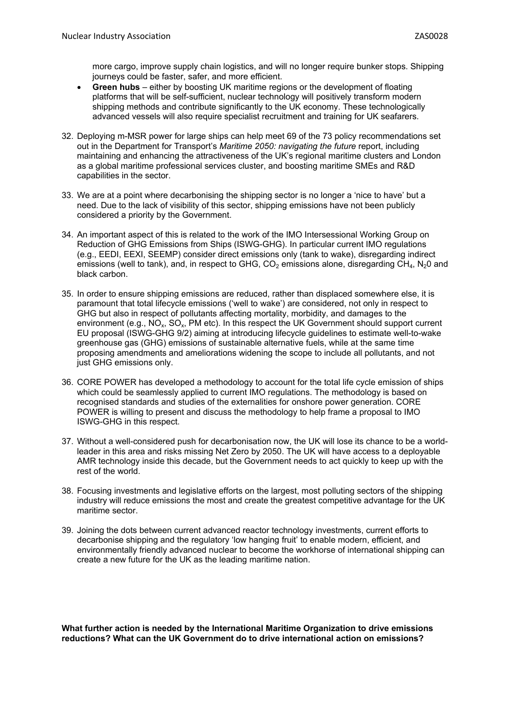more cargo, improve supply chain logistics, and will no longer require bunker stops. Shipping journeys could be faster, safer, and more efficient.

- **Green hubs** either by boosting UK maritime regions or the development of floating platforms that will be self-sufficient, nuclear technology will positively transform modern shipping methods and contribute significantly to the UK economy. These technologically advanced vessels will also require specialist recruitment and training for UK seafarers.
- 32. Deploying m-MSR power for large ships can help meet 69 of the 73 policy recommendations set out in the Department for Transport's *Maritime 2050: navigating the future* report, including maintaining and enhancing the attractiveness of the UK's regional maritime clusters and London as a global maritime professional services cluster, and boosting maritime SMEs and R&D capabilities in the sector.
- 33. We are at a point where decarbonising the shipping sector is no longer a 'nice to have' but a need. Due to the lack of visibility of this sector, shipping emissions have not been publicly considered a priority by the Government.
- 34. An important aspect of this is related to the work of the IMO Intersessional Working Group on Reduction of GHG Emissions from Ships (ISWG-GHG). In particular current IMO regulations (e.g., EEDI, EEXI, SEEMP) consider direct emissions only (tank to wake), disregarding indirect emissions (well to tank), and, in respect to GHG,  $CO<sub>2</sub>$  emissions alone, disregarding  $CH<sub>4</sub>$ , N<sub>2</sub>0 and black carbon.
- 35. In order to ensure shipping emissions are reduced, rather than displaced somewhere else, it is paramount that total lifecycle emissions ('well to wake') are considered, not only in respect to GHG but also in respect of pollutants affecting mortality, morbidity, and damages to the environment (e.g.,  $NO_x$ ,  $SO_x$ , PM etc). In this respect the UK Government should support current EU proposal (ISWG-GHG 9/2) aiming at introducing lifecycle guidelines to estimate well-to-wake greenhouse gas (GHG) emissions of sustainable alternative fuels, while at the same time proposing amendments and ameliorations widening the scope to include all pollutants, and not just GHG emissions only.
- 36. CORE POWER has developed a methodology to account for the total life cycle emission of ships which could be seamlessly applied to current IMO regulations. The methodology is based on recognised standards and studies of the externalities for onshore power generation. CORE POWER is willing to present and discuss the methodology to help frame a proposal to IMO ISWG-GHG in this respect.
- 37. Without a well-considered push for decarbonisation now, the UK will lose its chance to be a worldleader in this area and risks missing Net Zero by 2050. The UK will have access to a deployable AMR technology inside this decade, but the Government needs to act quickly to keep up with the rest of the world.
- 38. Focusing investments and legislative efforts on the largest, most polluting sectors of the shipping industry will reduce emissions the most and create the greatest competitive advantage for the UK maritime sector.
- 39. Joining the dots between current advanced reactor technology investments, current efforts to decarbonise shipping and the regulatory 'low hanging fruit' to enable modern, efficient, and environmentally friendly advanced nuclear to become the workhorse of international shipping can create a new future for the UK as the leading maritime nation.

**What further action is needed by the International Maritime Organization to drive emissions reductions? What can the UK Government do to drive international action on emissions?**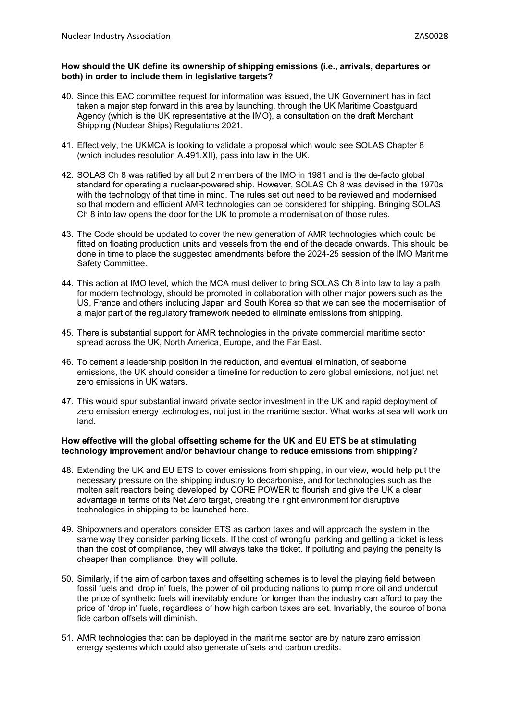## **How should the UK define its ownership of shipping emissions (i.e., arrivals, departures or both) in order to include them in legislative targets?**

- 40. Since this EAC committee request for information was issued, the UK Government has in fact taken a major step forward in this area by launching, through the UK Maritime Coastguard Agency (which is the UK representative at the IMO), a consultation on the draft Merchant Shipping (Nuclear Ships) Regulations 2021.
- 41. Effectively, the UKMCA is looking to validate a proposal which would see SOLAS Chapter 8 (which includes resolution A.491.XII), pass into law in the UK.
- 42. SOLAS Ch 8 was ratified by all but 2 members of the IMO in 1981 and is the de-facto global standard for operating a nuclear-powered ship. However, SOLAS Ch 8 was devised in the 1970s with the technology of that time in mind. The rules set out need to be reviewed and modernised so that modern and efficient AMR technologies can be considered for shipping. Bringing SOLAS Ch 8 into law opens the door for the UK to promote a modernisation of those rules.
- 43. The Code should be updated to cover the new generation of AMR technologies which could be fitted on floating production units and vessels from the end of the decade onwards. This should be done in time to place the suggested amendments before the 2024-25 session of the IMO Maritime Safety Committee.
- 44. This action at IMO level, which the MCA must deliver to bring SOLAS Ch 8 into law to lay a path for modern technology, should be promoted in collaboration with other major powers such as the US, France and others including Japan and South Korea so that we can see the modernisation of a major part of the regulatory framework needed to eliminate emissions from shipping.
- 45. There is substantial support for AMR technologies in the private commercial maritime sector spread across the UK, North America, Europe, and the Far East.
- 46. To cement a leadership position in the reduction, and eventual elimination, of seaborne emissions, the UK should consider a timeline for reduction to zero global emissions, not just net zero emissions in UK waters.
- 47. This would spur substantial inward private sector investment in the UK and rapid deployment of zero emission energy technologies, not just in the maritime sector. What works at sea will work on land.

## **How effective will the global offsetting scheme for the UK and EU ETS be at stimulating technology improvement and/or behaviour change to reduce emissions from shipping?**

- 48. Extending the UK and EU ETS to cover emissions from shipping, in our view, would help put the necessary pressure on the shipping industry to decarbonise, and for technologies such as the molten salt reactors being developed by CORE POWER to flourish and give the UK a clear advantage in terms of its Net Zero target, creating the right environment for disruptive technologies in shipping to be launched here.
- 49. Shipowners and operators consider ETS as carbon taxes and will approach the system in the same way they consider parking tickets. If the cost of wrongful parking and getting a ticket is less than the cost of compliance, they will always take the ticket. If polluting and paying the penalty is cheaper than compliance, they will pollute.
- 50. Similarly, if the aim of carbon taxes and offsetting schemes is to level the playing field between fossil fuels and 'drop in' fuels, the power of oil producing nations to pump more oil and undercut the price of synthetic fuels will inevitably endure for longer than the industry can afford to pay the price of 'drop in' fuels, regardless of how high carbon taxes are set. Invariably, the source of bona fide carbon offsets will diminish.
- 51. AMR technologies that can be deployed in the maritime sector are by nature zero emission energy systems which could also generate offsets and carbon credits.